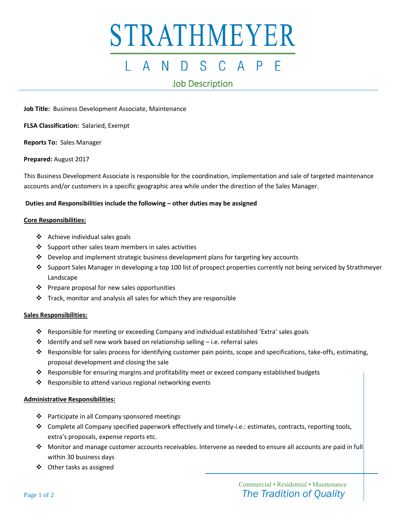# STRATHMEYER

#### $\mathsf{A}$ N. S - $\mathsf{A}$

### Job Description

**Job Title:** Business Development Associate, Maintenance

**FLSA Classification:** Salaried, Exempt

**Reports To:** Sales Manager

**Prepared:** August 2017

This Business Development Associate is responsible for the coordination, implementation and sale of targeted maintenance accounts and/or customers in a specific geographic area while under the direction of the Sales Manager.

#### **Duties and Responsibilities include the following – other duties may be assigned**

#### **Core Responsibilities:**

- ❖ Achieve individual sales goals
- ❖ Support other sales team members in sales activities
- ❖ Develop and implement strategic business development plans for targeting key accounts
- ❖ Support Sales Manager in developing a top 100 list of prospect properties currently not being serviced by Strathmeyer Landscape
- ❖ Prepare proposal for new sales opportunities
- ❖ Track, monitor and analysis all sales for which they are responsible

#### **Sales Responsibilities:**

- ❖ Responsible for meeting or exceeding Company and individual established 'Extra' sales goals
- $\cdot \cdot$  Identify and sell new work based on relationship selling i.e. referral sales
- ❖ Responsible for sales process for identifying customer pain points, scope and specifications, take-offs, estimating, proposal development and closing the sale
- ❖ Responsible for ensuring margins and profitability meet or exceed company established budgets
- ❖ Responsible to attend various regional networking events

#### **Administrative Responsibilities:**

- ❖ Participate in all Company sponsored meetings
- ❖ Complete all Company specified paperwork effectively and timely-i.e.: estimates, contracts, reporting tools, extra's proposals, expense reports etc.
- ❖ Monitor and manage customer accounts receivables. Intervene as needed to ensure all accounts are paid in full within 30 business days
- ❖ Other tasks as assigned